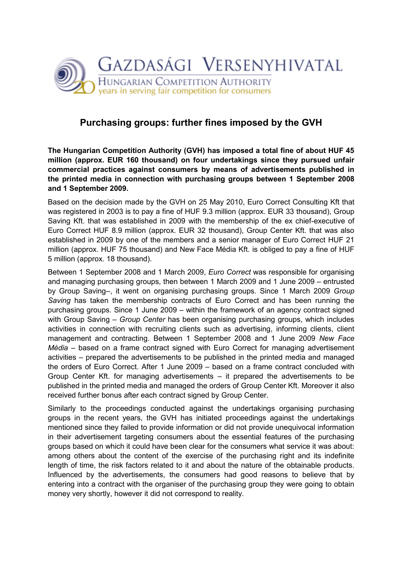

## Purchasing groups: further fines imposed by the GVH

The Hungarian Competition Authority (GVH) has imposed a total fine of about HUF 45 million (approx. EUR 160 thousand) on four undertakings since they pursued unfair commercial practices against consumers by means of advertisements published in the printed media in connection with purchasing groups between 1 September 2008 and 1 September 2009.

Based on the decision made by the GVH on 25 May 2010, Euro Correct Consulting Kft that was registered in 2003 is to pay a fine of HUF 9.3 million (approx. EUR 33 thousand), Group Saving Kft. that was established in 2009 with the membership of the ex chief-executive of Euro Correct HUF 8.9 million (approx. EUR 32 thousand), Group Center Kft. that was also established in 2009 by one of the members and a senior manager of Euro Correct HUF 21 million (approx. HUF 75 thousand) and New Face Média Kft. is obliged to pay a fine of HUF 5 million (approx. 18 thousand).

Between 1 September 2008 and 1 March 2009, Euro Correct was responsible for organising and managing purchasing groups, then between 1 March 2009 and 1 June 2009 – entrusted by Group Saving-, it went on organising purchasing groups. Since 1 March 2009 Group Saving has taken the membership contracts of Euro Correct and has been running the purchasing groups. Since 1 June 2009 – within the framework of an agency contract signed with Group Saving – Group Center has been organising purchasing groups, which includes activities in connection with recruiting clients such as advertising, informing clients, client management and contracting. Between 1 September 2008 and 1 June 2009 New Face Média – based on a frame contract signed with Euro Correct for managing advertisement activities – prepared the advertisements to be published in the printed media and managed the orders of Euro Correct. After 1 June 2009 – based on a frame contract concluded with Group Center Kft. for managing advertisements – it prepared the advertisements to be published in the printed media and managed the orders of Group Center Kft. Moreover it also received further bonus after each contract signed by Group Center.

Similarly to the proceedings conducted against the undertakings organising purchasing groups in the recent years, the GVH has initiated proceedings against the undertakings mentioned since they failed to provide information or did not provide unequivocal information in their advertisement targeting consumers about the essential features of the purchasing groups based on which it could have been clear for the consumers what service it was about: among others about the content of the exercise of the purchasing right and its indefinite length of time, the risk factors related to it and about the nature of the obtainable products. Influenced by the advertisements, the consumers had good reasons to believe that by entering into a contract with the organiser of the purchasing group they were going to obtain money very shortly, however it did not correspond to reality.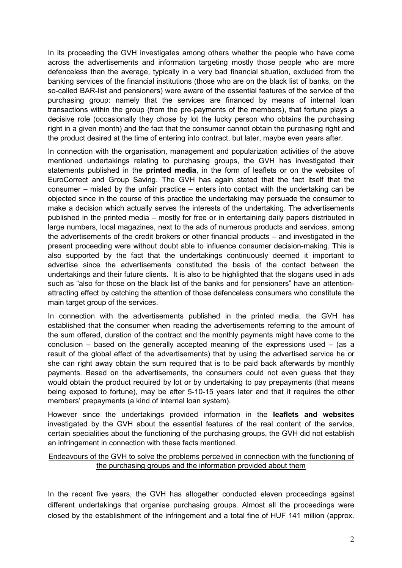In its proceeding the GVH investigates among others whether the people who have come across the advertisements and information targeting mostly those people who are more defenceless than the average, typically in a very bad financial situation, excluded from the banking services of the financial institutions (those who are on the black list of banks, on the so-called BAR-list and pensioners) were aware of the essential features of the service of the purchasing group: namely that the services are financed by means of internal loan transactions within the group (from the pre-payments of the members), that fortune plays a decisive role (occasionally they chose by lot the lucky person who obtains the purchasing right in a given month) and the fact that the consumer cannot obtain the purchasing right and the product desired at the time of entering into contract, but later, maybe even years after.

In connection with the organisation, management and popularization activities of the above mentioned undertakings relating to purchasing groups, the GVH has investigated their statements published in the printed media, in the form of leaflets or on the websites of EuroCorrect and Group Saving. The GVH has again stated that the fact itself that the consumer – misled by the unfair practice – enters into contact with the undertaking can be objected since in the course of this practice the undertaking may persuade the consumer to make a decision which actually serves the interests of the undertaking. The advertisements published in the printed media – mostly for free or in entertaining daily papers distributed in large numbers, local magazines, next to the ads of numerous products and services, among the advertisements of the credit brokers or other financial products – and investigated in the present proceeding were without doubt able to influence consumer decision-making. This is also supported by the fact that the undertakings continuously deemed it important to advertise since the advertisements constituted the basis of the contact between the undertakings and their future clients. It is also to be highlighted that the slogans used in ads such as "also for those on the black list of the banks and for pensioners" have an attentionattracting effect by catching the attention of those defenceless consumers who constitute the main target group of the services.

In connection with the advertisements published in the printed media, the GVH has established that the consumer when reading the advertisements referring to the amount of the sum offered, duration of the contract and the monthly payments might have come to the conclusion – based on the generally accepted meaning of the expressions used – (as a result of the global effect of the advertisements) that by using the advertised service he or she can right away obtain the sum required that is to be paid back afterwards by monthly payments. Based on the advertisements, the consumers could not even guess that they would obtain the product required by lot or by undertaking to pay prepayments (that means being exposed to fortune), may be after 5-10-15 years later and that it requires the other members' prepayments (a kind of internal loan system).

However since the undertakings provided information in the leaflets and websites investigated by the GVH about the essential features of the real content of the service, certain specialities about the functioning of the purchasing groups, the GVH did not establish an infringement in connection with these facts mentioned.

## Endeavours of the GVH to solve the problems perceived in connection with the functioning of the purchasing groups and the information provided about them

In the recent five years, the GVH has altogether conducted eleven proceedings against different undertakings that organise purchasing groups. Almost all the proceedings were closed by the establishment of the infringement and a total fine of HUF 141 million (approx.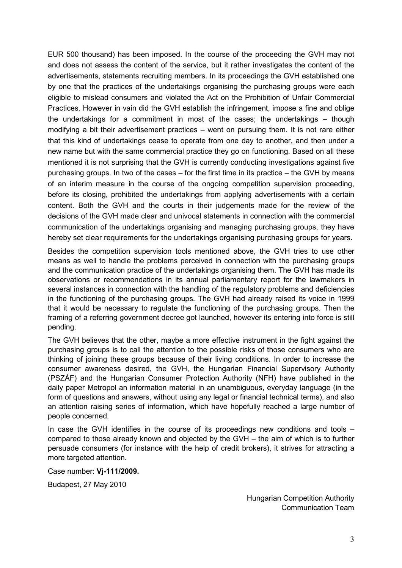EUR 500 thousand) has been imposed. In the course of the proceeding the GVH may not and does not assess the content of the service, but it rather investigates the content of the advertisements, statements recruiting members. In its proceedings the GVH established one by one that the practices of the undertakings organising the purchasing groups were each eligible to mislead consumers and violated the Act on the Prohibition of Unfair Commercial Practices. However in vain did the GVH establish the infringement, impose a fine and oblige the undertakings for a commitment in most of the cases; the undertakings – though modifying a bit their advertisement practices – went on pursuing them. It is not rare either that this kind of undertakings cease to operate from one day to another, and then under a new name but with the same commercial practice they go on functioning. Based on all these mentioned it is not surprising that the GVH is currently conducting investigations against five purchasing groups. In two of the cases – for the first time in its practice – the GVH by means of an interim measure in the course of the ongoing competition supervision proceeding, before its closing, prohibited the undertakings from applying advertisements with a certain content. Both the GVH and the courts in their judgements made for the review of the decisions of the GVH made clear and univocal statements in connection with the commercial communication of the undertakings organising and managing purchasing groups, they have hereby set clear requirements for the undertakings organising purchasing groups for years.

Besides the competition supervision tools mentioned above, the GVH tries to use other means as well to handle the problems perceived in connection with the purchasing groups and the communication practice of the undertakings organising them. The GVH has made its observations or recommendations in its annual parliamentary report for the lawmakers in several instances in connection with the handling of the regulatory problems and deficiencies in the functioning of the purchasing groups. The GVH had already raised its voice in 1999 that it would be necessary to regulate the functioning of the purchasing groups. Then the framing of a referring government decree got launched, however its entering into force is still pending.

The GVH believes that the other, maybe a more effective instrument in the fight against the purchasing groups is to call the attention to the possible risks of those consumers who are thinking of joining these groups because of their living conditions. In order to increase the consumer awareness desired, the GVH, the Hungarian Financial Supervisory Authority (PSZÁF) and the Hungarian Consumer Protection Authority (NFH) have published in the daily paper Metropol an information material in an unambiguous, everyday language (in the form of questions and answers, without using any legal or financial technical terms), and also an attention raising series of information, which have hopefully reached a large number of people concerned.

In case the GVH identifies in the course of its proceedings new conditions and tools – compared to those already known and objected by the GVH – the aim of which is to further persuade consumers (for instance with the help of credit brokers), it strives for attracting a more targeted attention.

Case number: Vj-111/2009.

Budapest, 27 May 2010

Hungarian Competition Authority Communication Team